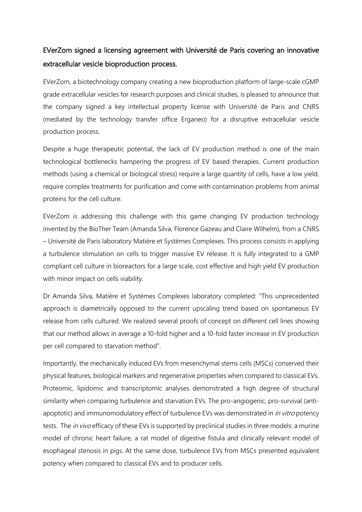## EVerZom signed a licensing agreement with Université de Paris covering an innovative extracellular vesicle bioproduction process.

EVerZom, a biotechnology company creating a new bioproduction platform of large-scale cGMP grade extracellular vesicles for research purposes and clinical studies, is pleased to announce that the company signed a key intellectual property license with Université de Paris and CNRS (mediated by the technology transfer office Erganeo) for a disruptive extracellular vesicle production process.

Despite a huge therapeutic potential, the lack of EV production method is one of the main technological bottlenecks hampering the progress of EV based therapies. Current production methods (using a chemical or biological stress) require a large quantity of cells, have a low yield, require complex treatments for purification and come with contamination problems from animal proteins for the cell culture.

EVerZom is addressing this challenge with this game changing EV production technology invented by the BioTher Team (Amanda Silva, Florence Gazeau and Claire Wilhelm), from a CNRS – Université de Paris laboratory Matière et Systèmes Complexes. This process consists in applying a turbulence stimulation on cells to trigger massive EV release. It is fully integrated to a GMP compliant cell culture in bioreactors for a large scale, cost effective and high yield EV production with minor impact on cells viability.

Dr Amanda Silva, Matière et Systèmes Complexes laboratory completed: "This unprecedented approach is diametrically opposed to the current upscaling trend based on spontaneous EV release from cells cultured. We realized several proofs of concept on different cell lines showing that our method allows in average a 10-fold higher and a 10-fold faster increase in EV production per cell compared to starvation method".

Importantly, the mechanically induced EVs from mesenchymal stems cells (MSCs) conserved their physical features, biological markers and regenerative properties when compared to classical EVs. Proteomic, lipidomic and transcriptomic analyses demonstrated a high degree of structural similarity when comparing turbulence and starvation EVs. The pro-angiogenic, pro-survival (antiapoptotic) and immunomodulatory effect of turbulence EVs was demonstrated in *in vitro* potency tests. The *in vivo* efficacy of these EVs is supported by preclinical studies in three models: a murine model of chronic heart failure, a rat model of digestive fistula and clinically relevant model of esophageal stenosis in pigs. At the same dose, turbulence EVs from MSCs presented equivalent potency when compared to classical EVs and to producer cells.